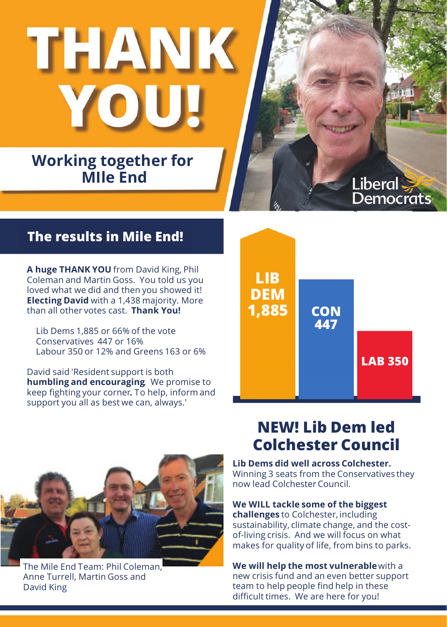THANK

### **Working together for MIle End**

# **The results in MIle End ! The results in Mile End!**

**<sup>A</sup> huge THANK YOU** from David King, Phil Coleman and Martin Goss. You told us you loved what we did and then you showed it! **Electing David** with <sup>a</sup> 1,438 majority. More than all other votes cast. **Thank You!**

Lib Dems 1,885 or 66% of the vote Conservatives <sup>447</sup> or 16% Labour <sup>350</sup> or 12% and Greens <sup>163</sup> or 6%

David said 'Resident support is both **humbling and encouraging**. We promise to keep fighting your corner**.** To help, inform and support you all as best we can, always.'



The Mile End Team: Phil Coleman, Anne Turrell, Martin Goss and David King

# **LIB DEM 1,885 447 CON LAB <sup>350</sup> 447**

Liberal

Democrats

## **NEW! Lib Dem led Colchester Council**

**Lib Dems did well across Colchester.** Winning <sup>3</sup> seats from the Conservatives they now lead Colchester Council.

### **We WILL tackle some of the biggest**

**challenges** to Colchester, including sustainability, climate change, and the costof-living crisis. And we will focus on what makes for quality of life, from bins to parks.

### **We will help the most vulnerable**with <sup>a</sup>

new crisis fund and an even better support team to help people find help in these difficult times. We are here for you!